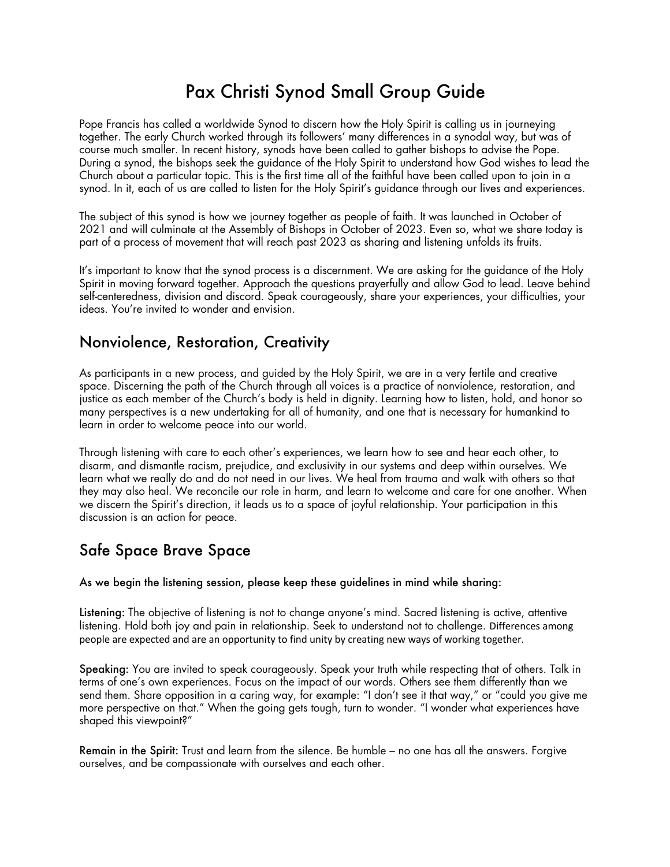# Pax Christi Synod Small Group Guide

Pope Francis has called a worldwide Synod to discern how the Holy Spirit is calling us in journeying together. The early Church worked through its followers' many differences in a synodal way, but was of course much smaller. In recent history, synods have been called to gather bishops to advise the Pope. During a synod, the bishops seek the guidance of the Holy Spirit to understand how God wishes to lead the Church about a particular topic. This is the first time all of the faithful have been called upon to join in a synod. In it, each of us are called to listen for the Holy Spirit's guidance through our lives and experiences.

The subject of this synod is how we journey together as people of faith. It was launched in October of 2021 and will culminate at the Assembly of Bishops in October of 2023. Even so, what we share today is part of a process of movement that will reach past 2023 as sharing and listening unfolds its fruits.

It's important to know that the synod process is a discernment. We are asking for the guidance of the Holy Spirit in moving forward together. Approach the questions prayerfully and allow God to lead. Leave behind self-centeredness, division and discord. Speak courageously, share your experiences, your difficulties, your ideas. You're invited to wonder and envision.

#### Nonviolence, Restoration, Creativity

As participants in a new process, and guided by the Holy Spirit, we are in a very fertile and creative space. Discerning the path of the Church through all voices is a practice of nonviolence, restoration, and justice as each member of the Church's body is held in dignity. Learning how to listen, hold, and honor so many perspectives is a new undertaking for all of humanity, and one that is necessary for humankind to learn in order to welcome peace into our world.

Through listening with care to each other's experiences, we learn how to see and hear each other, to disarm, and dismantle racism, prejudice, and exclusivity in our systems and deep within ourselves. We learn what we really do and do not need in our lives. We heal from trauma and walk with others so that they may also heal. We reconcile our role in harm, and learn to welcome and care for one another. When we discern the Spirit's direction, it leads us to a space of joyful relationship. Your participation in this discussion is an action for peace.

## Safe Space Brave Space

As we begin the listening session, please keep these guidelines in mind while sharing:

Listening: The objective of listening is not to change anyone's mind. Sacred listening is active, attentive listening. Hold both joy and pain in relationship. Seek to understand not to challenge. Differences among people are expected and are an opportunity to find unity by creating new ways of working together.

Speaking: You are invited to speak courageously. Speak your truth while respecting that of others. Talk in terms of one's own experiences. Focus on the impact of our words. Others see them differently than we send them. Share opposition in a caring way, for example: "I don't see it that way," or "could you give me more perspective on that." When the going gets tough, turn to wonder. "I wonder what experiences have shaped this viewpoint?"

Remain in the Spirit: Trust and learn from the silence. Be humble – no one has all the answers. Forgive ourselves, and be compassionate with ourselves and each other.